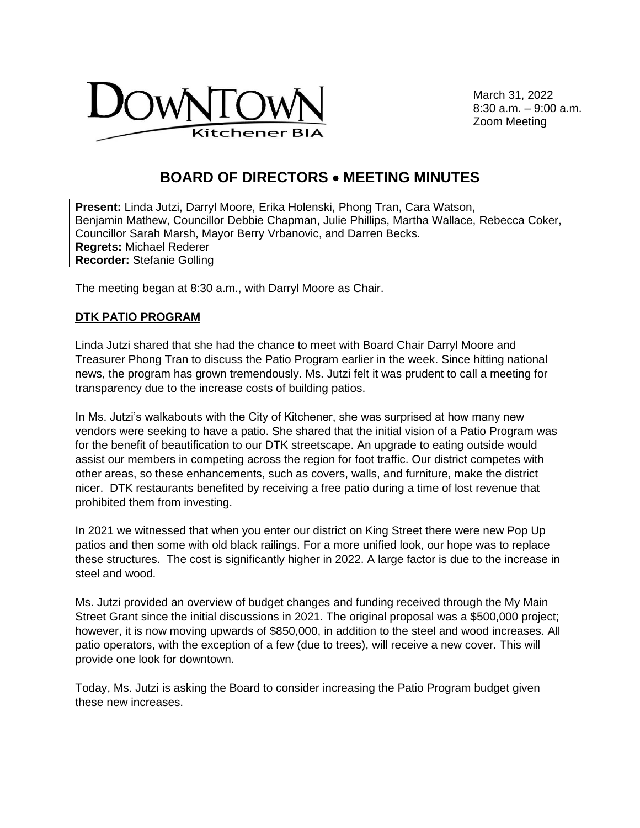

March 31, 2022 8:30 a.m. – 9:00 a.m. Zoom Meeting

## **BOARD OF DIRECTORS** • **MEETING MINUTES**

**Present:** Linda Jutzi, Darryl Moore, Erika Holenski, Phong Tran, Cara Watson, Benjamin Mathew, Councillor Debbie Chapman, Julie Phillips, Martha Wallace, Rebecca Coker, Councillor Sarah Marsh, Mayor Berry Vrbanovic, and Darren Becks. **Regrets:** Michael Rederer **Recorder:** Stefanie Golling

The meeting began at 8:30 a.m., with Darryl Moore as Chair.

## **DTK PATIO PROGRAM**

Linda Jutzi shared that she had the chance to meet with Board Chair Darryl Moore and Treasurer Phong Tran to discuss the Patio Program earlier in the week. Since hitting national news, the program has grown tremendously. Ms. Jutzi felt it was prudent to call a meeting for transparency due to the increase costs of building patios.

In Ms. Jutzi's walkabouts with the City of Kitchener, she was surprised at how many new vendors were seeking to have a patio. She shared that the initial vision of a Patio Program was for the benefit of beautification to our DTK streetscape. An upgrade to eating outside would assist our members in competing across the region for foot traffic. Our district competes with other areas, so these enhancements, such as covers, walls, and furniture, make the district nicer. DTK restaurants benefited by receiving a free patio during a time of lost revenue that prohibited them from investing.

In 2021 we witnessed that when you enter our district on King Street there were new Pop Up patios and then some with old black railings. For a more unified look, our hope was to replace these structures. The cost is significantly higher in 2022. A large factor is due to the increase in steel and wood.

Ms. Jutzi provided an overview of budget changes and funding received through the My Main Street Grant since the initial discussions in 2021. The original proposal was a \$500,000 project; however, it is now moving upwards of \$850,000, in addition to the steel and wood increases. All patio operators, with the exception of a few (due to trees), will receive a new cover. This will provide one look for downtown.

Today, Ms. Jutzi is asking the Board to consider increasing the Patio Program budget given these new increases.